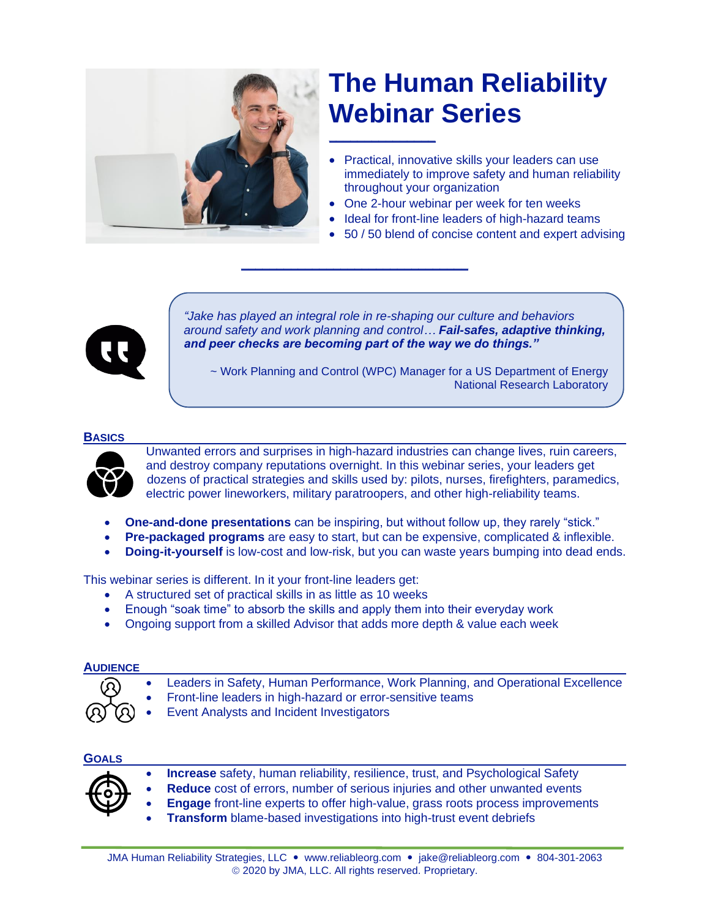

# **The Human Reliability Webinar Series**

- Practical, innovative skills your leaders can use immediately to improve safety and human reliability throughout your organization
- One 2-hour webinar per week for ten weeks
- Ideal for front-line leaders of high-hazard teams
- 50 / 50 blend of concise content and expert advising



*"Jake has played an integral role in re-shaping our culture and behaviors around safety and work planning and control… Fail-safes, adaptive thinking, and peer checks are becoming part of the way we do things."*

~ Work Planning and Control (WPC) Manager for a US Department of Energy National Research Laboratory

#### **BASICS**



Unwanted errors and surprises in high-hazard industries can change lives, ruin careers, and destroy company reputations overnight. In this webinar series, your leaders get dozens of practical strategies and skills used by: pilots, nurses, firefighters, paramedics, electric power lineworkers, military paratroopers, and other high-reliability teams.

• **One-and-done presentations** can be inspiring, but without follow up, they rarely "stick."

**\_\_\_\_\_\_\_\_\_\_\_\_\_\_\_\_\_\_\_\_\_\_\_\_\_\_\_\_\_\_\_\_**

- **Pre-packaged programs** are easy to start, but can be expensive, complicated & inflexible.
- **Doing-it-yourself** is low-cost and low-risk, but you can waste years bumping into dead ends.

This webinar series is different. In it your front-line leaders get:

- A structured set of practical skills in as little as 10 weeks
- Enough "soak time" to absorb the skills and apply them into their everyday work
- Ongoing support from a skilled Advisor that adds more depth & value each week

## **AUDIENCE**

- Leaders in Safety, Human Performance, Work Planning, and Operational Excellence
- Front-line leaders in high-hazard or error-sensitive teams
	- Event Analysts and Incident Investigators

## **GOALS**

| $\leftarrow$<br>Ο |  |
|-------------------|--|
|                   |  |

- **Increase** safety, human reliability, resilience, trust, and Psychological Safety
- **Reduce** cost of errors, number of serious injuries and other unwanted events
- **Engage** front-line experts to offer high-value, grass roots process improvements
- **Transform** blame-based investigations into high-trust event debriefs